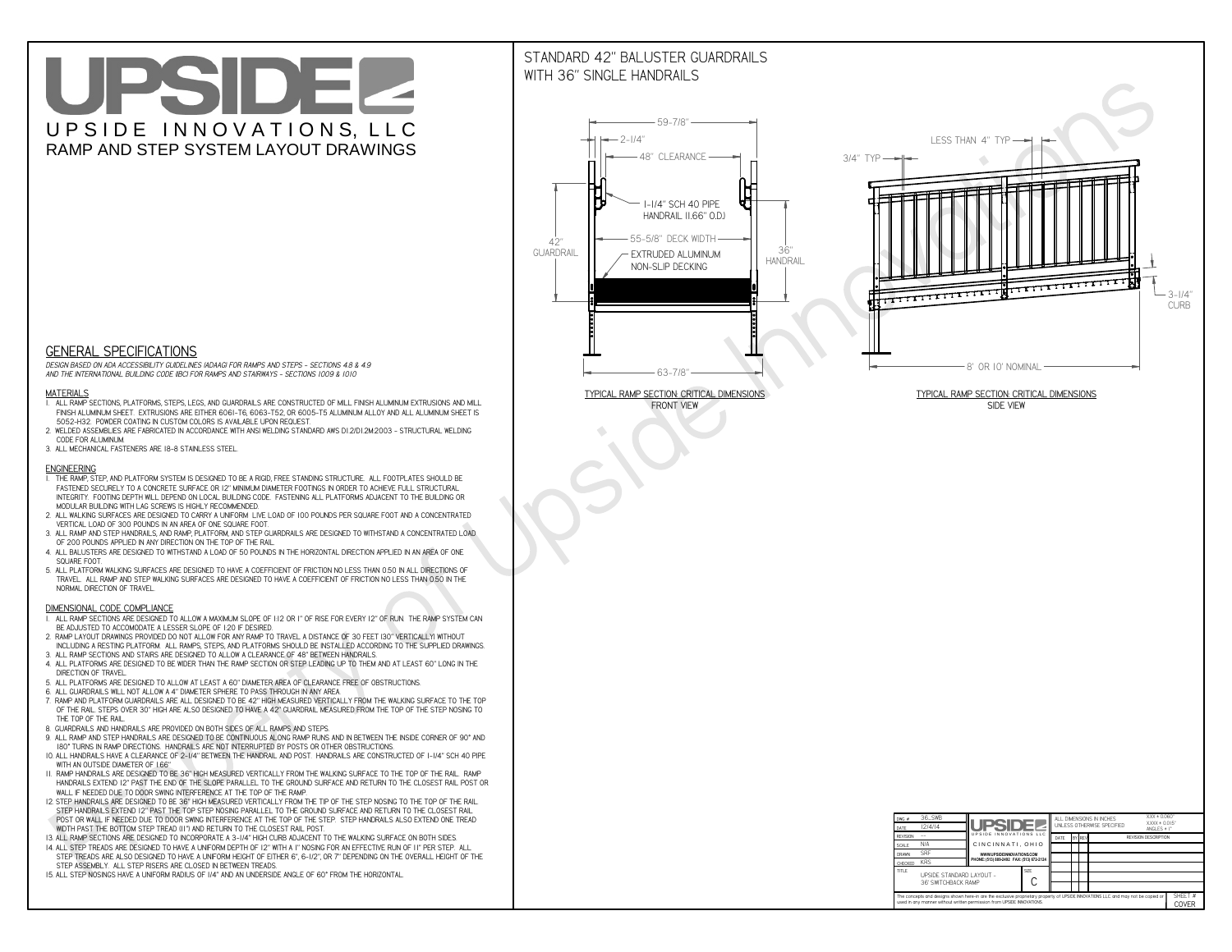# UPSIDEL UPSIDE INNOVATIONS, LLC RAMP AND STEP SYSTEM LAYOUT DRAWINGS

## STANDARD 42" BALUSTER GUARDRAILSWITH 36" SINGLE HANDRAILS

**FRONT VIEW**





**GENERAL SPECIFICATIONS**

 *DESIGN BASED ON ADA ACCESSIBILITY GUIDELINES (ADAAG) FOR RAMPS AND STEPS - SECTIONS 4.8 & 4.9AND THE INTERNATIONAL BUILDING CODE (IBC) FOR RAMPS AND STAIRWAYS - SECTIONS 1009 & 1010*

#### **MATERIALS**

- **1. ALL RAMP SECTIONS, PLATFORMS, STEPS, LEGS, AND GUARDRAILS ARE CONSTRUCTED OF MILL FINISH ALUMINUM EXTRUSIONS AND MILL FINISH ALUMINUM SHEET. EXTRUSIONS ARE EITHER 6061-T6, 6063-T52, OR 6005-T5 ALUMINUM ALLOY AND ALL ALUMINUM SHEET IS 5052-H32. POWDER COATING IN CUSTOM COLORS IS AVAILABLE UPON REQUEST.**
- **2. WELDED ASSEMBLIES ARE FABRICATED IN ACCORDANCE WITH ANSI WELDING STANDARD AWS D1.2/D1.2M:2003 STRUCTURAL WELDING CODE FOR ALUMINUM.**
- **3. ALL MECHANICAL FASTENERS ARE 18-8 STAINLESS STEEL.**

#### **ENGINEERING**

- **1. THE RAMP, STEP, AND PLATFORM SYSTEM IS DESIGNED TO BE A RIGID, FREE STANDING STRUCTURE. ALL FOOTPLATES SHOULD BE FASTENED SECURELY TO A CONCRETE SURFACE OR 12" MINIMUM DIAMETER FOOTINGS IN ORDER TO ACHIEVE FULL STRUCTURAL INTEGRITY. FOOTING DEPTH WILL DEPEND ON LOCAL BUILDING CODE. FASTENING ALL PLATFORMS ADJACENT TO THE BUILDING OR MODULAR BUILDING WITH LAG SCREWS IS HIGHLY RECOMMENDED.**
- **2. ALL WALKING SURFACES ARE DESIGNED TO CARRY A UNIFORM LIVE LOAD OF 100 POUNDS PER SQUARE FOOT AND A CONCENTRATED VERTICAL LOAD OF 300 POUNDS IN AN AREA OF ONE SQUARE FOOT.**
- **3. ALL RAMP AND STEP HANDRAILS, AND RAMP, PLATFORM, AND STEP GUARDRAILS ARE DESIGNED TO WITHSTAND A CONCENTRATED LOAD OF 200 POUNDS APPLIED IN ANY DIRECTION ON THE TOP OF THE RAIL.**
- **4. ALL BALUSTERS ARE DESIGNED TO WITHSTAND A LOAD OF 50 POUNDS IN THE HORIZONTAL DIRECTION APPLIED IN AN AREA OF ONE SQUARE FOOT.**
- **5. ALL PLATFORM WALKING SURFACES ARE DESIGNED TO HAVE A COEFFICIENT OF FRICTION NO LESS THAN 0.50 IN ALL DIRECTIONS OF TRAVEL. ALL RAMP AND STEP WALKING SURFACES ARE DESIGNED TO HAVE A COEFFICIENT OF FRICTION NO LESS THAN 0.50 IN THE NORMAL DIRECTION OF TRAVEL.**

| $DWG.$ #<br>DATE                                                                                                                                                                                            | 36_SWB<br>12/4/14                               | UPSIDEL                                   |             | ALL DIMENSIONS IN INCHES<br>UNI FSS OTHERWISE SPECIFIED |  |               |  | $XXX = 0.060"$<br>$XXX \pm 0.015$ "<br>ANGLES $\pm$ 1° |                  |
|-------------------------------------------------------------------------------------------------------------------------------------------------------------------------------------------------------------|-------------------------------------------------|-------------------------------------------|-------------|---------------------------------------------------------|--|---------------|--|--------------------------------------------------------|------------------|
| <b>REVISION</b>                                                                                                                                                                                             |                                                 | UPSIDE INNOVATIONS LLC                    |             | DATE                                                    |  | <b>BY REV</b> |  | <b>REVISION DESCRIPTION</b>                            |                  |
| <b>SCALE</b>                                                                                                                                                                                                | N/A                                             | CINCINNATI, OHIO                          |             |                                                         |  |               |  |                                                        |                  |
| <b>DRAWN</b>                                                                                                                                                                                                | <b>SRF</b>                                      | WWW.UPSIDEINNOVATIONS.COM                 |             |                                                         |  |               |  |                                                        |                  |
| CHECKED                                                                                                                                                                                                     | <b>KRS</b>                                      | PHONE: (513) 889-2492 FAX: (513) 672-2124 |             |                                                         |  |               |  |                                                        |                  |
| <b>TITLE</b>                                                                                                                                                                                                | UPSIDE STANDARD LAYOUT -<br>36' SWITCHBACK RAMP |                                           | <b>SIZE</b> |                                                         |  |               |  |                                                        |                  |
| The concepts and designs shown here-in are the exclusive proprietary property of UPSIDE INNOVATIONS LLC. and may not be copied or<br>used in any manner without written permission from UPSIDE INNOVATIONS. |                                                 |                                           |             |                                                         |  |               |  |                                                        | SHEET #<br>COVER |

### **DIMENSIONAL CODE COMPLIANCE**

- **1. ALL RAMP SECTIONS ARE DESIGNED TO ALLOW A MAXIMUM SLOPE OF 1:12 OR 1" OF RISE FOR EVERY 12" OF RUN. THE RAMP SYSTEM CAN BE ADJUSTED TO ACCOMODATE A LESSER SLOPE OF 1:20 IF DESIRED.**
- **2. RAMP LAYOUT DRAWINGS PROVIDED DO NOT ALLOW FOR ANY RAMP TO TRAVEL A DISTANCE OF 30 FEET (30" VERTICALLY) WITHOUT INCLUDING A RESTING PLATFORM. ALL RAMPS, STEPS, AND PLATFORMS SHOULD BE INSTALLED ACCORDING TO THE SUPPLIED DRAWINGS.**
- **3. ALL RAMP SECTIONS AND STAIRS ARE DESIGNED TO ALLOW A CLEARANCE OF 48" BETWEEN HANDRAILS.**
- **4. ALL PLATFORMS ARE DESIGNED TO BE WIDER THAN THE RAMP SECTION OR STEP LEADING UP TO THEM AND AT LEAST 60" LONG IN THE DIRECTION OF TRAVEL.**
- **5. ALL PLATFORMS ARE DESIGNED TO ALLOW AT LEAST A 60" DIAMETER AREA OF CLEARANCE FREE OF OBSTRUCTIONS.**
- **6. ALL GUARDRAILS WILL NOT ALLOW A 4" DIAMETER SPHERE TO PASS THROUGH IN ANY AREA.**
- **7. RAMP AND PLATFORM GUARDRAILS ARE ALL DESIGNED TO BE 42" HIGH MEASURED VERTICALLY FROM THE WALKING SURFACE TO THE TOP OF THE RAIL. STEPS OVER 30" HIGH ARE ALSO DESIGNED TO HAVE A 42" GUARDRAIL MEASURED FROM THE TOP OF THE STEP NOSING TO THE TOP OF THE RAIL.**
- **8. GUARDRAILS AND HANDRAILS ARE PROVIDED ON BOTH SIDES OF ALL RAMPS AND STEPS.**
- **9. ALL RAMP AND STEP HANDRAILS ARE DESIGNED TO BE CONTINUOUS ALONG RAMP RUNS AND IN BETWEEN THE INSIDE CORNER OF 90° AND 180° TURNS IN RAMP DIRECTIONS. HANDRAILS ARE NOT INTERRUPTED BY POSTS OR OTHER OBSTRUCTIONS.**
- **10. ALL HANDRAILS HAVE A CLEARANCE OF 2-1/4" BETWEEN THE HANDRAIL AND POST. HANDRAILS ARE CONSTRUCTED OF 1-1/4" SCH 40 PIPE WITH AN OUTSIDE DIAMETER OF 1.66"**
- **11. RAMP HANDRAILS ARE DESIGNED TO BE 36" HIGH MEASURED VERTICALLY FROM THE WALKING SURFACE TO THE TOP OF THE RAIL. RAMP HANDRAILS EXTEND 12" PAST THE END OF THE SLOPE PARALLEL TO THE GROUND SURFACE AND RETURN TO THE CLOSEST RAIL POST OR WALL IF NEEDED DUE TO DOOR SWING INTERFERENCE AT THE TOP OF THE RAMP.**
- **12. STEP HANDRAILS ARE DESIGNED TO BE 36" HIGH MEASURED VERTICALLY FROM THE TIP OF THE STEP NOSING TO THE TOP OF THE RAIL. STEP HANDRAILS EXTEND 12" PAST THE TOP STEP NOSING PARALLEL TO THE GROUND SURFACE AND RETURN TO THE CLOSEST RAIL POST OR WALL IF NEEDED DUE TO DOOR SWING INTERFERENCE AT THE TOP OF THE STEP. STEP HANDRAILS ALSO EXTEND ONE TREAD**
- **WIDTH PAST THE BOTTOM STEP TREAD (11") AND RETURN TO THE CLOSEST RAIL POST.**
- **13. ALL RAMP SECTIONS ARE DESIGNED TO INCORPORATE A 3-1/4" HIGH CURB ADJACENT TO THE WALKING SURFACE ON BOTH SIDES.**
- **14. ALL STEP TREADS ARE DESIGNED TO HAVE A UNIFORM DEPTH OF 12" WITH A 1" NOSING FOR AN EFFECTIVE RUN OF 11" PER STEP. ALL STEP TREADS ARE ALSO DESIGNED TO HAVE A UNIFORM HEIGHT OF EITHER 6", 6-1/2", OR 7" DEPENDING ON THE OVERALL HEIGHT OF THE STEP ASSEMBLY. ALL STEP RISERS ARE CLOSED IN BETWEEN TREADS.**
- **15. ALL STEP NOSINGS HAVE A UNIFORM RADIUS OF 1/4" AND AN UNDERSIDE ANGLE OF 60° FROM THE HORIZONTAL.**